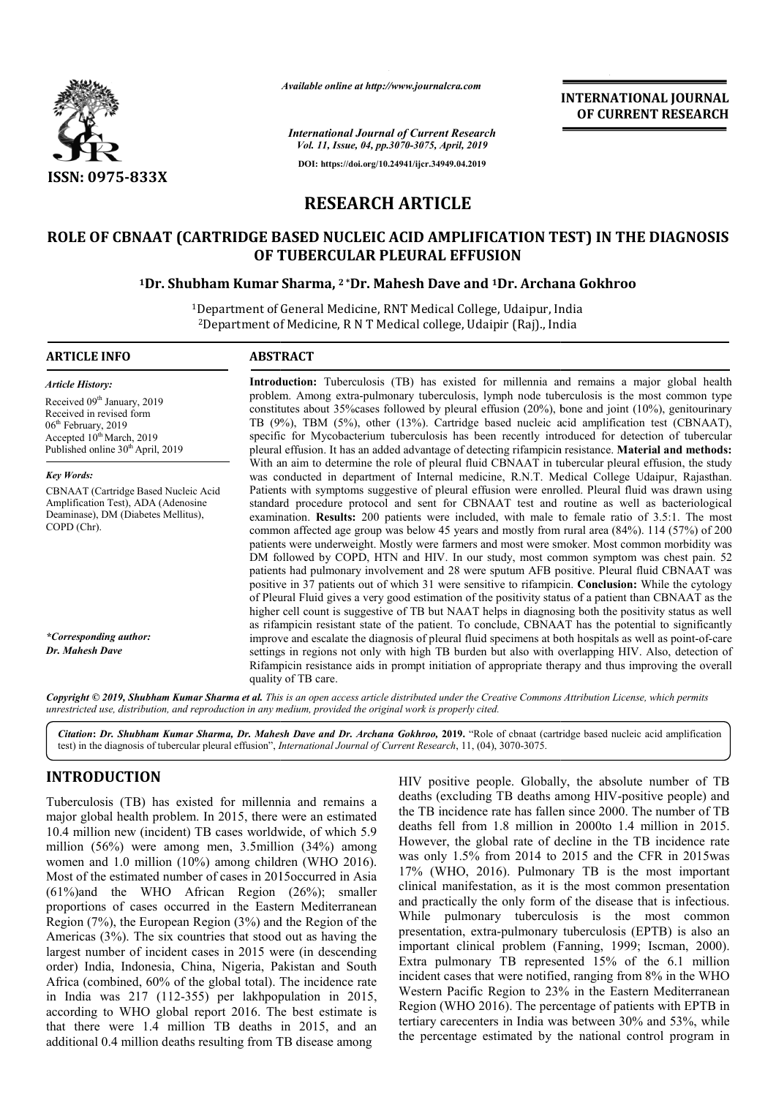

*Available online at http://www.journalcra.com*

**INTERNATIONAL JOURNAL OF CURRENT RESEARCH**

*International Journal of Current Research Vol. 11, Issue, 04, pp.3070-3075, April, 2019* **DOI: https://doi.org/10.24941/ijcr.34949.04.2019**

# **RESEARCH ARTICLE**

# **ROLE OF CBNAAT (CARTRIDGE BASED NUCLEIC ACID AMPLIFICATION TEST) IN THE DIAGNOSIS OF TUBERCULAR PLEURAL EFFUSION**

# <sup>1</sup>Dr. Shubham Kumar Sharma, <sup>2</sup> \*Dr. Mahesh Dave and <sup>1</sup>Dr. Archana Gokhroo

<sup>1</sup>Department of General Medicine, RNT Medical College, Udaipur, India <sup>2</sup>Department of Medicine, R N T Medical college, Udaipir (Raj)., India

# **ARTICLE INFO ABSTRACT**

*Article History:* Received 09<sup>th</sup> January, 2019 Received in revised form 06<sup>th</sup> February, 2019 Accepted  $10^{th}$  March, 2019 Published online 30<sup>th</sup> April, 2019

*Key Words:* CBNAAT (Cartridge Based Nucleic Acid Amplification Test), ADA (Adenosine Deaminase), DM (Diabetes Mellitus), COPD (Chr).

*\*Corresponding author: Dr. Mahesh Dave*

**Introduction:** Tuberculosis (TB) has existed for millennia and remains a major global health problem. Among extra-pulmonary tuberculosis, lymph node tuberculosis is the most common type constitutes about 35% 35%cases followed by pleural effusion (20%), bone and joint (10%), genitourinary TB (9%), TBM (5%), other (13%). Cartridge based nucleic acid amplification test (CBNAAT), specific for Mycobacterium tuberculosis has been recently introduced for detection of tubercular pleural effusion. It has an added advantage of detecting rifampicin resistance. Material and methods: With an aim to determine the role of pleural fluid CBNAAT in tubercular pleural effusion, the study With an aim to determine the role of pleural fluid CBNAAT in tubercular pleural effusion, the study was conducted in department of Internal medicine, R.N.T. Medical College Udaipur, Rajasthan. Patients with symptoms suggestive of pleural effusion were enrolled. Pleural fluid was drawn using Patients with symptoms suggestive of pleural effusion were enrolled. Pleural fluid was drawn using standard procedure protocol and sent for CBNAAT test and routine as well as bacteriological examination. **Results:** 200 patients were included, with male to female ratio of 3.5:1. The most common affected age group was below 45 years and mostly from rural area  $(84%)$ . 114  $(57%)$  of 200 patients were underweight. Mostly were farmers and most were smoker. Most common morbidity was DM followed by COPD, HTN and HIV. In our study, most common symptom was chest pain. 52 DM followed by COPD, HTN and HIV. In our study, most common symptom was chest pain. 52 patients had pulmonary involvement and 28 were sputum AFB positive. Pleural fluid CBNAAT was positive in 37 patients out of which 31 were sensitive to rifampicin. **Conclusion:** While the cytology of Pleural Fluid gives a very good estimation of the positivity status of a patient than CBNAAT as the higher cell count is suggestive of TB but NAAT helps in diagnosing both the positivity status as well higher cell count is suggestive of TB but NAAT helps in diagnosing both the positivity status as well as rifampicin resistant state of the patient. To conclude, CBNAAT has the potential to significantly improve and escalate the diagnosis of pleural fluid specimens at both hospitals as well as point-of-care settings in regions not only with high TB burden but also with overlapping HIV. Also, detection of settings in regions not only with high TB burden but also with overlapping HIV. Also, detection of Rifampicin resistance aids in prompt initiation of appropriate therapy and thus improving the overall quality of TB care. node tuberculosis is the most common type<br>i (20%), bone and joint (10%), genitourinary<br>nucleic acid amplification test (CBNAAT),

Copyright © 2019, Shubham Kumar Sharma et al. This is an open access article distributed under the Creative Commons Attribution License, which permits *unrestricted use, distribution, and reproduction in any medium, provided the original work is properly cited.*

Citation: Dr. Shubham Kumar Sharma, Dr. Mahesh Dave and Dr. Archana Gokhroo, 2019. "Role of cbnaat (cartridge based nucleic acid amplification test) in the diagnosis of tubercular pleural effusion", *International Journal of Current Research* , 11, (04), 3070-3075.

# **INTRODUCTION**

Tuberculosis (TB) has existed for millennia and remains a major global health problem. In 2015, there were an estimated 10.4 million new (incident) TB cases worldwide, of which 5.9 million (56%) were among men, 3.5million (34%) among women and 1.0 million (10%) among children (WHO 2016). Most of the estimated number of cases in 2015occurred in Asia (61%)and the WHO African Region (26%); smaller proportions of cases occurred in the Eastern Mediterranean Region (7%), the European Region (3%) and the Region of the Americas (3%). The six countries that stood out as having the largest number of incident cases in 2015 were (in descending order) India, Indonesia, China, Nigeria, Pakistan and South Africa (combined, 60% of the global total). The incidence rate in India was 217 (112-355) per lakhpopulation in 2015, according to WHO global report 2016. The best estimate is that there were 1.4 million TB deaths in 2015, and an additional 0.4 million deaths resulting from TB disease among

HIV positive people. Globally, the absolute number of TB HIV positive people. Globally, the absolute number of TB deaths (excluding TB deaths among HIV-positive people) and the TB incidence rate has fallen since 2000. The number of TB deaths fell from 1.8 million in 2000to 1.4 million in 2015. deaths fell from 1.8 million in 2000to 1.4 million in 2015.<br>However, the global rate of decline in the TB incidence rate was only  $1.5\%$  from 2014 to 2015 and the CFR in 2015was 17% (WHO, 2016). Pulmonary TB is the most important clinical manifestation, as it is the most common presentation and practically the only form of the disease that is infectious. While pulmonary tuberculosis is the most common presentation, extra-pulmonary tuberculosis (EPTB) is also an important clinical problem (Fanning, 1999; Iscman, 2000). Extra pulmonary TB represented  $15%$  of the 6.1 million incident cases that were notified, ranging from 8% in the WHO Western Pacific Region to 23% in the Eastern Mediterranean Region (WHO 2016). The percentage of patients with EPTB in tertiary carecenters in India was between 30% and 53%, while the percentage estimated by the national control program HO, 2016). Pulmonary TB is the most important aanifestation, as it is the most common presentation cally the only form of the disease that is infectious.<br>
ulmonary tuberculosis is the most common Region to 23% in the Eastern Mediterranean<br>016). The percentage of patients with EPTB in<br>rs in India was between 30% and 53%, while<br>stimated by the national control program in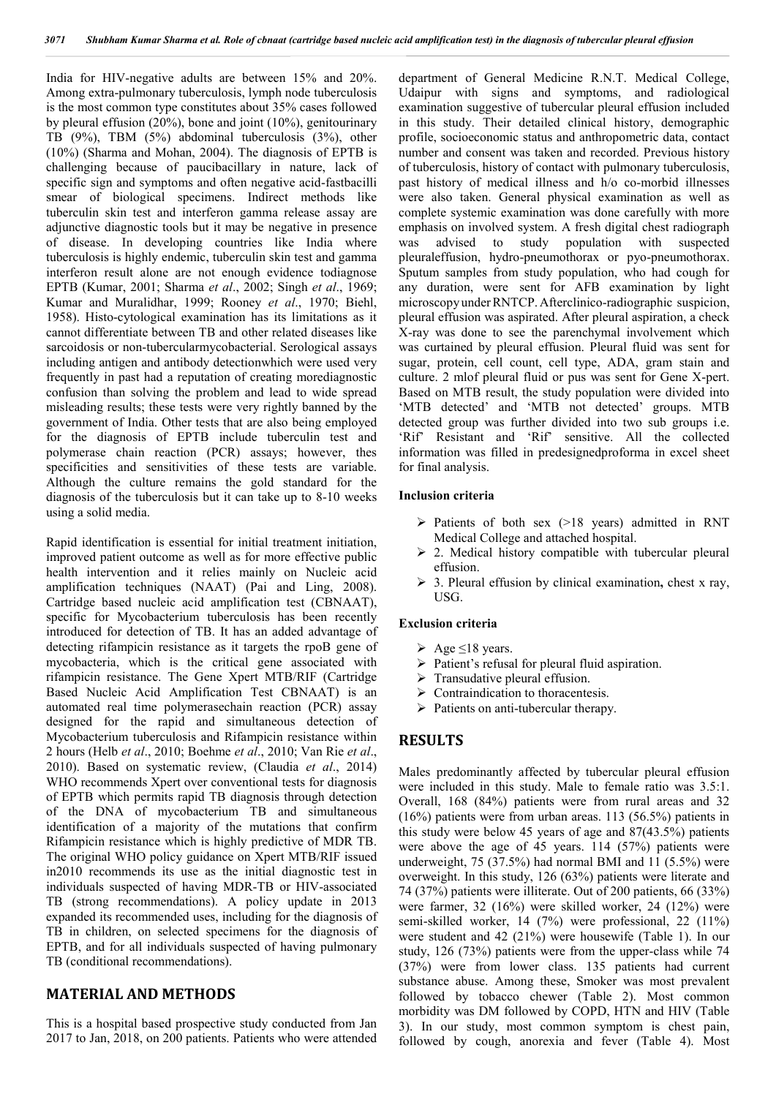India for HIV-negative adults are between 15% and 20%. Among extra-pulmonary tuberculosis, lymph node tuberculosis is the most common type constitutes about 35% cases followed by pleural effusion (20%), bone and joint (10%), genitourinary TB (9%), TBM (5%) abdominal tuberculosis (3%), other (10%) (Sharma and Mohan, 2004). The diagnosis of EPTB is challenging because of paucibacillary in nature, lack of specific sign and symptoms and often negative acid-fastbacilli smear of biological specimens. Indirect methods like tuberculin skin test and interferon gamma release assay are adjunctive diagnostic tools but it may be negative in presence of disease. In developing countries like India where tuberculosis is highly endemic, tuberculin skin test and gamma interferon result alone are not enough evidence todiagnose EPTB (Kumar, 2001; Sharma *et al*., 2002; Singh *et al*., 1969; Kumar and Muralidhar, 1999; Rooney *et al*., 1970; Biehl, 1958). Histo-cytological examination has its limitations as it cannot differentiate between TB and other related diseases like sarcoidosis or non-tubercularmycobacterial. Serological assays including antigen and antibody detectionwhich were used very frequently in past had a reputation of creating morediagnostic confusion than solving the problem and lead to wide spread misleading results; these tests were very rightly banned by the government of India. Other tests that are also being employed for the diagnosis of EPTB include tuberculin test and polymerase chain reaction (PCR) assays; however, thes specificities and sensitivities of these tests are variable. Although the culture remains the gold standard for the diagnosis of the tuberculosis but it can take up to 8-10 weeks using a solid media.

Rapid identification is essential for initial treatment initiation, improved patient outcome as well as for more effective public health intervention and it relies mainly on Nucleic acid amplification techniques (NAAT) (Pai and Ling, 2008). Cartridge based nucleic acid amplification test (CBNAAT), specific for Mycobacterium tuberculosis has been recently introduced for detection of TB. It has an added advantage of detecting rifampicin resistance as it targets the rpoB gene of mycobacteria, which is the critical gene associated with rifampicin resistance. The Gene Xpert MTB/RIF (Cartridge Based Nucleic Acid Amplification Test CBNAAT) is an automated real time polymerasechain reaction (PCR) assay designed for the rapid and simultaneous detection of Mycobacterium tuberculosis and Rifampicin resistance within 2 hours (Helb *et al*., 2010; Boehme *et al*., 2010; Van Rie *et al*., 2010). Based on systematic review, (Claudia *et al*., 2014) WHO recommends Xpert over conventional tests for diagnosis of EPTB which permits rapid TB diagnosis through detection of the DNA of mycobacterium TB and simultaneous identification of a majority of the mutations that confirm Rifampicin resistance which is highly predictive of MDR TB. The original WHO policy guidance on Xpert MTB/RIF issued in2010 recommends its use as the initial diagnostic test in individuals suspected of having MDR-TB or HIV-associated TB (strong recommendations). A policy update in 2013 expanded its recommended uses, including for the diagnosis of TB in children, on selected specimens for the diagnosis of EPTB, and for all individuals suspected of having pulmonary TB (conditional recommendations).

# **MATERIAL AND METHODS**

This is a hospital based prospective study conducted from Jan 2017 to Jan, 2018, on 200 patients. Patients who were attended

department of General Medicine R.N.T. Medical College, Udaipur with signs and symptoms, and radiological examination suggestive of tubercular pleural effusion included in this study. Their detailed clinical history, demographic profile, socioeconomic status and anthropometric data, contact number and consent was taken and recorded. Previous history of tuberculosis, history of contact with pulmonary tuberculosis, past history of medical illness and h/o co-morbid illnesses were also taken. General physical examination as well as complete systemic examination was done carefully with more emphasis on involved system. A fresh digital chest radiograph was advised to study population with suspected pleuraleffusion, hydro-pneumothorax or pyo-pneumothorax. Sputum samples from study population, who had cough for any duration, were sent for AFB examination by light microscopyunderRNTCP.Afterclinico-radiographic suspicion, pleural effusion was aspirated. After pleural aspiration, a check X-ray was done to see the parenchymal involvement which was curtained by pleural effusion. Pleural fluid was sent for sugar, protein, cell count, cell type, ADA, gram stain and culture. 2 mlof pleural fluid or pus was sent for Gene X-pert. Based on MTB result, the study population were divided into 'MTB detected' and 'MTB not detected' groups. MTB detected group was further divided into two sub groups i.e. 'Rif' Resistant and 'Rif' sensitive. All the collected information was filled in predesignedproforma in excel sheet for final analysis.

#### **Inclusion criteria**

- $\triangleright$  Patients of both sex (>18 years) admitted in RNT Medical College and attached hospital.
- $\geq$  2. Medical history compatible with tubercular pleural effusion.
- 3. Pleural effusion by clinical examination**,** chest x ray, USG.

#### **Exclusion criteria**

- Age  $\leq$ 18 years.
- $\triangleright$  Patient's refusal for pleural fluid aspiration.
- $\triangleright$  Transudative pleural effusion.
- $\triangleright$  Contraindication to thoracentesis.
- $\triangleright$  Patients on anti-tubercular therapy.

### **RESULTS**

Males predominantly affected by tubercular pleural effusion were included in this study. Male to female ratio was 3.5:1. Overall, 168 (84%) patients were from rural areas and 32 (16%) patients were from urban areas. 113 (56.5%) patients in this study were below 45 years of age and 87(43.5%) patients were above the age of 45 years. 114 (57%) patients were underweight, 75 (37.5%) had normal BMI and 11 (5.5%) were overweight. In this study, 126 (63%) patients were literate and 74 (37%) patients were illiterate. Out of 200 patients, 66 (33%) were farmer, 32 (16%) were skilled worker, 24 (12%) were semi-skilled worker, 14 (7%) were professional, 22 (11%) were student and 42 (21%) were housewife (Table 1). In our study, 126 (73%) patients were from the upper-class while 74 (37%) were from lower class. 135 patients had current substance abuse. Among these, Smoker was most prevalent followed by tobacco chewer (Table 2). Most common morbidity was DM followed by COPD, HTN and HIV (Table 3). In our study, most common symptom is chest pain, followed by cough, anorexia and fever (Table 4). Most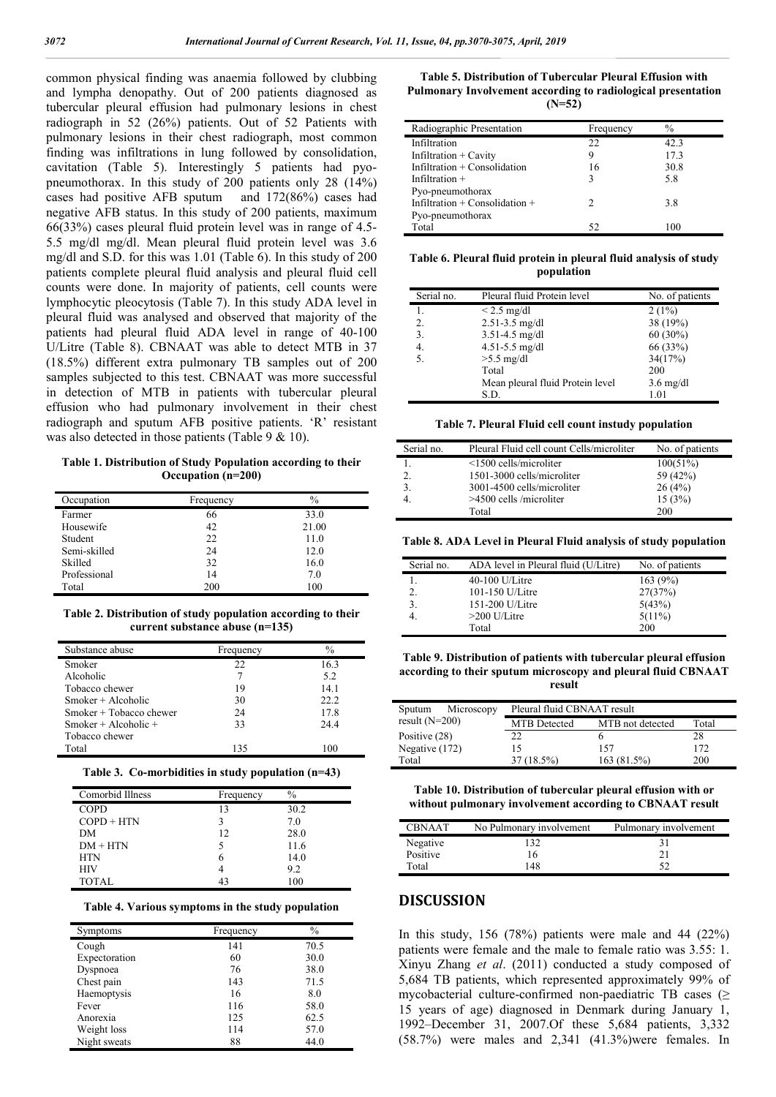common physical finding was anaemia followed by clubbing and lympha denopathy. Out of 200 patients diagnosed as tubercular pleural effusion had pulmonary lesions in chest radiograph in 52 (26%) patients. Out of 52 Patients with pulmonary lesions in their chest radiograph, most common finding was infiltrations in lung followed by consolidation, cavitation (Table 5). Interestingly 5 patients had pyopneumothorax. In this study of 200 patients only 28 (14%) cases had positive AFB sputum and 172(86%) cases had negative AFB status. In this study of 200 patients, maximum 66(33%) cases pleural fluid protein level was in range of 4.5- 5.5 mg/dl mg/dl. Mean pleural fluid protein level was 3.6 mg/dl and S.D. for this was 1.01 (Table 6). In this study of 200 patients complete pleural fluid analysis and pleural fluid cell counts were done. In majority of patients, cell counts were lymphocytic pleocytosis (Table 7). In this study ADA level in pleural fluid was analysed and observed that majority of the patients had pleural fluid ADA level in range of 40-100 U/Litre (Table 8). CBNAAT was able to detect MTB in 37 (18.5%) different extra pulmonary TB samples out of 200 samples subjected to this test. CBNAAT was more successful in detection of MTB in patients with tubercular pleural effusion who had pulmonary involvement in their chest radiograph and sputum AFB positive patients. 'R' resistant was also detected in those patients (Table 9 & 10).

**Table 1. Distribution of Study Population according to their Occupation (n=200)**

| Occupation   | Frequency | $\%$  |
|--------------|-----------|-------|
| Farmer       | 66        | 33.0  |
| Housewife    | 42        | 21.00 |
| Student      | 22        | 11.0  |
| Semi-skilled | 24        | 12.0  |
| Skilled      | 32        | 16.0  |
| Professional | 14        | 7.0   |
| Total        | 200       | 100   |

**Table 2. Distribution of study population according to their current substance abuse (n=135)**

| Substance abuse         | Frequency | $\%$ |
|-------------------------|-----------|------|
| Smoker                  | 22        | 16.3 |
| Alcoholic               | 7         | 5.2  |
| Tobacco chewer          | 19        | 14.1 |
| $Smoker + Alcoholic$    | 30        | 22.2 |
| Smoker + Tobacco chewer | 24        | 17.8 |
| Smoker + Alcoholic +    | 33        | 24.4 |
| Tobacco chewer          |           |      |
| Total                   | 135       | 100  |
|                         |           |      |

|  | Table 3. Co-morbidities in study population $(n=43)$ |  |  |  |
|--|------------------------------------------------------|--|--|--|
|--|------------------------------------------------------|--|--|--|

| Comorbid Illness | Frequency | $\frac{0}{0}$ |
|------------------|-----------|---------------|
| <b>COPD</b>      | 13        | 30.2          |
| $COPD + HTN$     |           | 7.0           |
| DM               | 12        | 28.0          |
| $DM + HTN$       |           | 11.6          |
| <b>HTN</b>       | h         | 14.0          |
| <b>HIV</b>       |           | 9.2           |
| <b>TOTAL</b>     |           | 100           |

| Table 4. Various symptoms in the study population |  |  |  |  |  |  |
|---------------------------------------------------|--|--|--|--|--|--|
|---------------------------------------------------|--|--|--|--|--|--|

| Symptoms      | Frequency | $\frac{0}{0}$ |
|---------------|-----------|---------------|
| Cough         | 141       | 70.5          |
| Expectoration | 60        | 30.0          |
| Dyspnoea      | 76        | 38.0          |
| Chest pain    | 143       | 71.5          |
| Haemoptysis   | 16        | 8.0           |
| Fever         | 116       | 58.0          |
| Anorexia      | 125       | 62.5          |
| Weight loss   | 114       | 57.0          |
| Night sweats  | 88        | 44.0          |

**Table 5. Distribution of Tubercular Pleural Effusion with Pulmonary Involvement according to radiological presentation (N=52)**

| Radiographic Presentation          | Frequency | $\frac{0}{0}$ |
|------------------------------------|-----------|---------------|
| Infiltration                       | 22        | 42.3          |
| Infiltration + Cavity              | 9         | 17.3          |
| Infiltration $+$ Consolidation     | 16        | 30.8          |
| Infiltration $+$                   | 3         | 5.8           |
| Pyo-pneumothorax                   |           |               |
| Infiltration $+$ Consolidation $+$ |           | 3.8           |
| Pyo-pneumothorax                   |           |               |
| Total                              | 52        | 100           |

**Table 6. Pleural fluid protein in pleural fluid analysis of study population**

| Serial no. | Pleural fluid Protein level      | No. of patients     |
|------------|----------------------------------|---------------------|
|            | $< 2.5$ mg/dl                    | $2(1\%)$            |
| 2.         | $2.51 - 3.5$ mg/dl               | 38 (19%)            |
| 3.         | 3.51-4.5 mg/dl                   | $60(30\%)$          |
| 4.         | $4.51 - 5.5$ mg/dl               | 66 (33%)            |
| 5.         | $>5.5$ mg/dl                     | 34(17%)             |
|            | Total                            | 200                 |
|            | Mean pleural fluid Protein level | $3.6 \text{ mg/dl}$ |
|            | S.D.                             | 1.01                |

**Table 7. Pleural Fluid cell count instudy population**

| Serial no.   | Pleural Fluid cell count Cells/microliter | No. of patients |
|--------------|-------------------------------------------|-----------------|
|              | $\leq$ 1500 cells/microliter              | 100(51%)        |
| 2.           | 1501-3000 cells/microliter                | 59 (42%)        |
| $\mathbf{3}$ | 3001-4500 cells/microliter                | 26(4%)          |
|              | $>4500$ cells /microliter                 | 15(3%)          |
|              | Total                                     | 200             |

**Table 8. ADA Level in Pleural Fluid analysis of study population**

| Serial no. | ADA level in Pleural fluid (U/Litre) | No. of patients |
|------------|--------------------------------------|-----------------|
|            | $40-100$ U/Litre                     | 163(9%)         |
| 2.         | 101-150 U/Litre                      | 27(37%)         |
| 3.         | 151-200 U/Litre                      | 5(43%)          |
|            | $>200$ U/Litre                       | $5(11\%)$       |
|            | Total                                | 200             |

**Table 9. Distribution of patients with tubercular pleural effusion according to their sputum microscopy and pleural fluid CBNAAT result**

| Microscopy<br>Sputum | Pleural fluid CBNAAT result |                  |            |
|----------------------|-----------------------------|------------------|------------|
| result $(N=200)$     | <b>MTB</b> Detected         | MTB not detected | Total      |
| Positive (28)        | 22                          |                  | 28         |
| Negative (172)       | 15                          | 157              | 172        |
| Total                | 37 (18.5%)                  | 163(81.5%)       | <b>200</b> |

**Table 10. Distribution of tubercular pleural effusion with or without pulmonary involvement according to CBNAAT result**

| <b>CBNAAT</b> | No Pulmonary involvement | Pulmonary involvement |
|---------------|--------------------------|-----------------------|
| Negative      | 132                      | 31                    |
| Positive      | 16                       | 21                    |
| Total         | 148                      |                       |

# **DISCUSSION**

In this study,  $156$  (78%) patients were male and 44 (22%) patients were female and the male to female ratio was 3.55: 1. Xinyu Zhang *et al*. (2011) conducted a study composed of 5,684 TB patients, which represented approximately 99% of mycobacterial culture-confirmed non-paediatric TB cases (≥ 15 years of age) diagnosed in Denmark during January 1, 1992–December 31, 2007.Of these 5,684 patients, 3,332 (58.7%) were males and 2,341 (41.3%)were females. In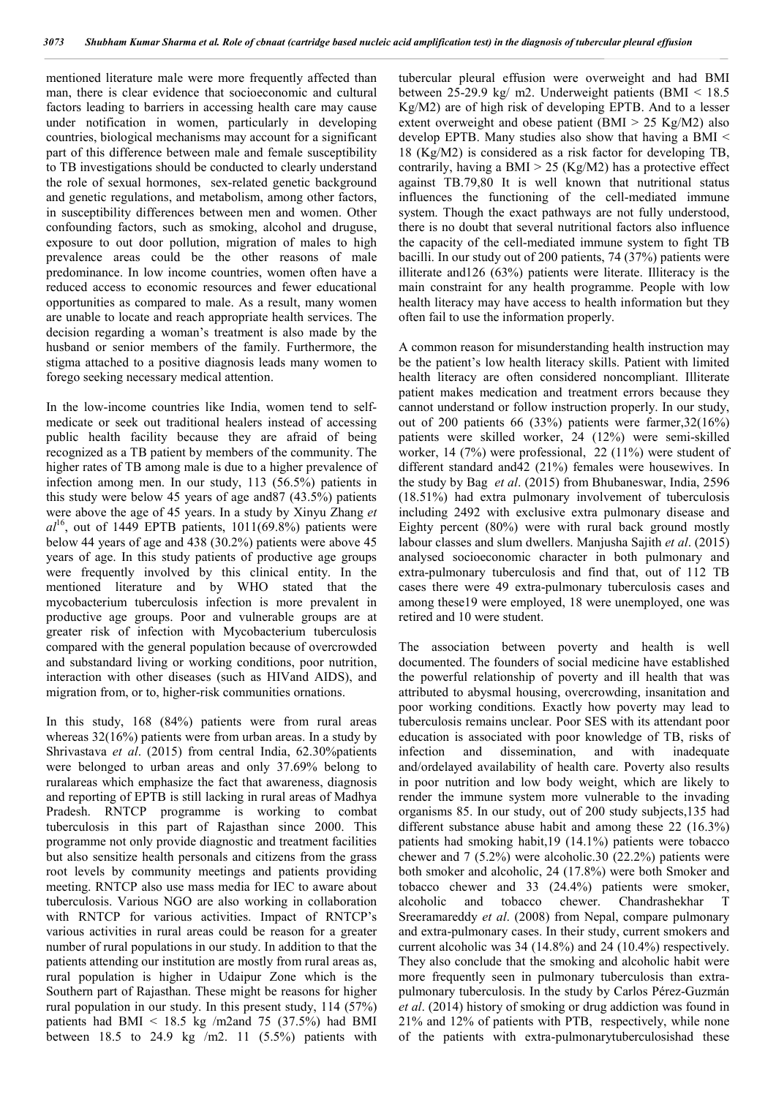mentioned literature male were more frequently affected than man, there is clear evidence that socioeconomic and cultural factors leading to barriers in accessing health care may cause under notification in women, particularly in developing countries, biological mechanisms may account for a significant part of this difference between male and female susceptibility to TB investigations should be conducted to clearly understand the role of sexual hormones, sex-related genetic background and genetic regulations, and metabolism, among other factors, in susceptibility differences between men and women. Other confounding factors, such as smoking, alcohol and druguse, exposure to out door pollution, migration of males to high prevalence areas could be the other reasons of male predominance. In low income countries, women often have a reduced access to economic resources and fewer educational opportunities as compared to male. As a result, many women are unable to locate and reach appropriate health services. The decision regarding a woman's treatment is also made by the husband or senior members of the family. Furthermore, the stigma attached to a positive diagnosis leads many women to forego seeking necessary medical attention.

In the low-income countries like India, women tend to selfmedicate or seek out traditional healers instead of accessing public health facility because they are afraid of being recognized as a TB patient by members of the community. The higher rates of TB among male is due to a higher prevalence of infection among men. In our study, 113 (56.5%) patients in this study were below 45 years of age and87 (43.5%) patients were above the age of 45 years. In a study by Xinyu Zhang *et*   $al^{16}$ , out of 1449 EPTB patients,  $1011(69.8%)$  patients were below 44 years of age and 438 (30.2%) patients were above 45 years of age. In this study patients of productive age groups were frequently involved by this clinical entity. In the mentioned literature and by WHO stated that the mycobacterium tuberculosis infection is more prevalent in productive age groups. Poor and vulnerable groups are at greater risk of infection with Mycobacterium tuberculosis compared with the general population because of overcrowded and substandard living or working conditions, poor nutrition, interaction with other diseases (such as HIVand AIDS), and migration from, or to, higher-risk communities ornations.

In this study, 168 (84%) patients were from rural areas whereas 32(16%) patients were from urban areas. In a study by Shrivastava *et al*. (2015) from central India, 62.30%patients were belonged to urban areas and only 37.69% belong to ruralareas which emphasize the fact that awareness, diagnosis and reporting of EPTB is still lacking in rural areas of Madhya Pradesh. RNTCP programme is working to combat tuberculosis in this part of Rajasthan since 2000. This programme not only provide diagnostic and treatment facilities but also sensitize health personals and citizens from the grass root levels by community meetings and patients providing meeting. RNTCP also use mass media for IEC to aware about tuberculosis. Various NGO are also working in collaboration with RNTCP for various activities. Impact of RNTCP's various activities in rural areas could be reason for a greater number of rural populations in our study. In addition to that the patients attending our institution are mostly from rural areas as, rural population is higher in Udaipur Zone which is the Southern part of Rajasthan. These might be reasons for higher rural population in our study. In this present study, 114 (57%) patients had BMI <  $18.5$  kg /m2and 75 (37.5%) had BMI between 18.5 to 24.9 kg /m2. 11  $(5.5\%)$  patients with

tubercular pleural effusion were overweight and had BMI between 25-29.9 kg/ m2. Underweight patients (BMI < 18.5 Kg/M2) are of high risk of developing EPTB. And to a lesser extent overweight and obese patient (BMI > 25 Kg/M2) also develop EPTB. Many studies also show that having a BMI < 18 (Kg/M2) is considered as a risk factor for developing TB, contrarily, having a BMI  $> 25$  (Kg/M2) has a protective effect against TB.79,80 It is well known that nutritional status influences the functioning of the cell-mediated immune system. Though the exact pathways are not fully understood, there is no doubt that several nutritional factors also influence the capacity of the cell-mediated immune system to fight TB bacilli. In our study out of 200 patients, 74 (37%) patients were illiterate and126 (63%) patients were literate. Illiteracy is the main constraint for any health programme. People with low health literacy may have access to health information but they often fail to use the information properly.

A common reason for misunderstanding health instruction may be the patient's low health literacy skills. Patient with limited health literacy are often considered noncompliant. Illiterate patient makes medication and treatment errors because they cannot understand or follow instruction properly. In our study, out of 200 patients 66 (33%) patients were farmer,32(16%) patients were skilled worker, 24 (12%) were semi-skilled worker, 14 (7%) were professional, 22 (11%) were student of different standard and42 (21%) females were housewives. In the study by Bag *et al*. (2015) from Bhubaneswar, India, 2596 (18.51%) had extra pulmonary involvement of tuberculosis including 2492 with exclusive extra pulmonary disease and Eighty percent (80%) were with rural back ground mostly labour classes and slum dwellers. Manjusha Sajith *et al*. (2015) analysed socioeconomic character in both pulmonary and extra-pulmonary tuberculosis and find that, out of 112 TB cases there were 49 extra-pulmonary tuberculosis cases and among these19 were employed, 18 were unemployed, one was retired and 10 were student.

The association between poverty and health is well documented. The founders of social medicine have established the powerful relationship of poverty and ill health that was attributed to abysmal housing, overcrowding, insanitation and poor working conditions. Exactly how poverty may lead to tuberculosis remains unclear. Poor SES with its attendant poor education is associated with poor knowledge of TB, risks of infection and dissemination, and with inadequate and/ordelayed availability of health care. Poverty also results in poor nutrition and low body weight, which are likely to render the immune system more vulnerable to the invading organisms 85. In our study, out of 200 study subjects,135 had different substance abuse habit and among these 22 (16.3%) patients had smoking habit,19 (14.1%) patients were tobacco chewer and 7 (5.2%) were alcoholic.30 (22.2%) patients were both smoker and alcoholic, 24 (17.8%) were both Smoker and tobacco chewer and 33 (24.4%) patients were smoker, alcoholic and tobacco chewer. Chandrashekhar T Sreeramareddy *et al*. (2008) from Nepal, compare pulmonary and extra-pulmonary cases. In their study, current smokers and current alcoholic was 34 (14.8%) and 24 (10.4%) respectively. They also conclude that the smoking and alcoholic habit were more frequently seen in pulmonary tuberculosis than extrapulmonary tuberculosis. In the study by Carlos Pérez-Guzmán *et al*. (2014) history of smoking or drug addiction was found in 21% and 12% of patients with PTB, respectively, while none of the patients with extra-pulmonarytuberculosishad these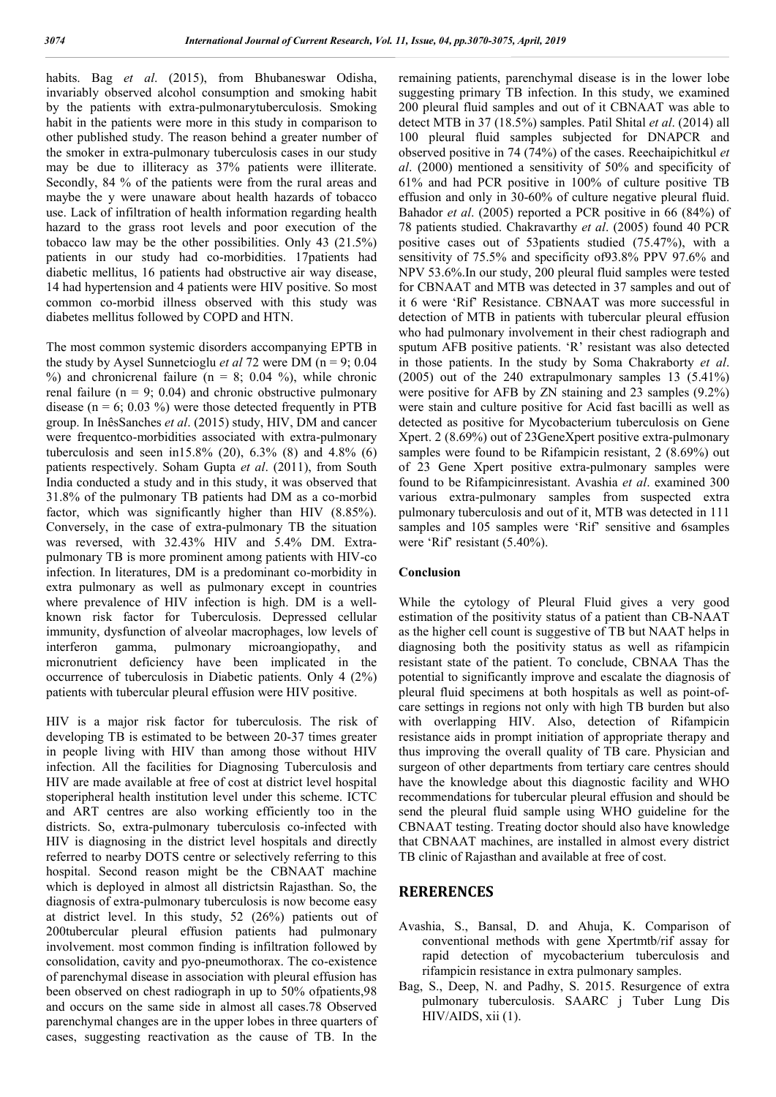habits. Bag *et al*. (2015), from Bhubaneswar Odisha, invariably observed alcohol consumption and smoking habit by the patients with extra-pulmonarytuberculosis. Smoking habit in the patients were more in this study in comparison to other published study. The reason behind a greater number of the smoker in extra-pulmonary tuberculosis cases in our study may be due to illiteracy as 37% patients were illiterate. Secondly, 84 % of the patients were from the rural areas and maybe the y were unaware about health hazards of tobacco use. Lack of infiltration of health information regarding health hazard to the grass root levels and poor execution of the tobacco law may be the other possibilities. Only 43 (21.5%) patients in our study had co-morbidities. 17patients had diabetic mellitus, 16 patients had obstructive air way disease, 14 had hypertension and 4 patients were HIV positive. So most common co-morbid illness observed with this study was diabetes mellitus followed by COPD and HTN.

The most common systemic disorders accompanying EPTB in the study by Aysel Sunnetcioglu *et al* 72 were DM (n = 9; 0.04  $%$ ) and chronicrenal failure (n = 8; 0.04 %), while chronic renal failure ( $n = 9$ ; 0.04) and chronic obstructive pulmonary disease ( $n = 6$ ; 0.03 %) were those detected frequently in PTB group. In InêsSanches *et al*. (2015) study, HIV, DM and cancer were frequentco-morbidities associated with extra-pulmonary tuberculosis and seen in15.8% (20), 6.3% (8) and 4.8% (6) patients respectively. Soham Gupta *et al*. (2011), from South India conducted a study and in this study, it was observed that 31.8% of the pulmonary TB patients had DM as a co-morbid factor, which was significantly higher than HIV (8.85%). Conversely, in the case of extra-pulmonary TB the situation was reversed, with 32.43% HIV and 5.4% DM. Extrapulmonary TB is more prominent among patients with HIV-co infection. In literatures, DM is a predominant co-morbidity in extra pulmonary as well as pulmonary except in countries where prevalence of HIV infection is high. DM is a wellknown risk factor for Tuberculosis. Depressed cellular immunity, dysfunction of alveolar macrophages, low levels of interferon gamma, pulmonary microangiopathy, and micronutrient deficiency have been implicated in the occurrence of tuberculosis in Diabetic patients. Only 4 (2%) patients with tubercular pleural effusion were HIV positive.

HIV is a major risk factor for tuberculosis. The risk of developing TB is estimated to be between 20-37 times greater in people living with HIV than among those without HIV infection. All the facilities for Diagnosing Tuberculosis and HIV are made available at free of cost at district level hospital stoperipheral health institution level under this scheme. ICTC and ART centres are also working efficiently too in the districts. So, extra-pulmonary tuberculosis co-infected with HIV is diagnosing in the district level hospitals and directly referred to nearby DOTS centre or selectively referring to this hospital. Second reason might be the CBNAAT machine which is deployed in almost all districtsin Rajasthan. So, the diagnosis of extra-pulmonary tuberculosis is now become easy at district level. In this study, 52 (26%) patients out of 200tubercular pleural effusion patients had pulmonary involvement. most common finding is infiltration followed by consolidation, cavity and pyo-pneumothorax. The co-existence of parenchymal disease in association with pleural effusion has been observed on chest radiograph in up to 50% ofpatients,98 and occurs on the same side in almost all cases.78 Observed parenchymal changes are in the upper lobes in three quarters of cases, suggesting reactivation as the cause of TB. In the

remaining patients, parenchymal disease is in the lower lobe suggesting primary TB infection. In this study, we examined 200 pleural fluid samples and out of it CBNAAT was able to detect MTB in 37 (18.5%) samples. Patil Shital *et al*. (2014) all 100 pleural fluid samples subjected for DNAPCR and observed positive in 74 (74%) of the cases. Reechaipichitkul *et al*. (2000) mentioned a sensitivity of 50% and specificity of 61% and had PCR positive in 100% of culture positive TB effusion and only in 30-60% of culture negative pleural fluid. Bahador *et al*. (2005) reported a PCR positive in 66 (84%) of 78 patients studied. Chakravarthy *et al*. (2005) found 40 PCR positive cases out of 53patients studied (75.47%), with a sensitivity of 75.5% and specificity of93.8% PPV 97.6% and NPV 53.6%.In our study, 200 pleural fluid samples were tested for CBNAAT and MTB was detected in 37 samples and out of it 6 were 'Rif' Resistance. CBNAAT was more successful in detection of MTB in patients with tubercular pleural effusion who had pulmonary involvement in their chest radiograph and sputum AFB positive patients. 'R' resistant was also detected in those patients. In the study by Soma Chakraborty *et al*. (2005) out of the 240 extrapulmonary samples 13 (5.41%) were positive for AFB by ZN staining and 23 samples (9.2%) were stain and culture positive for Acid fast bacilli as well as detected as positive for Mycobacterium tuberculosis on Gene Xpert. 2 (8.69%) out of 23GeneXpert positive extra-pulmonary samples were found to be Rifampicin resistant, 2 (8.69%) out of 23 Gene Xpert positive extra-pulmonary samples were found to be Rifampicinresistant. Avashia *et al*. examined 300 various extra-pulmonary samples from suspected extra pulmonary tuberculosis and out of it, MTB was detected in 111 samples and 105 samples were 'Rif' sensitive and 6samples were 'Rif' resistant (5.40%).

#### **Conclusion**

While the cytology of Pleural Fluid gives a very good estimation of the positivity status of a patient than CB-NAAT as the higher cell count is suggestive of TB but NAAT helps in diagnosing both the positivity status as well as rifampicin resistant state of the patient. To conclude, CBNAA Thas the potential to significantly improve and escalate the diagnosis of pleural fluid specimens at both hospitals as well as point-ofcare settings in regions not only with high TB burden but also with overlapping HIV. Also, detection of Rifampicin resistance aids in prompt initiation of appropriate therapy and thus improving the overall quality of TB care. Physician and surgeon of other departments from tertiary care centres should have the knowledge about this diagnostic facility and WHO recommendations for tubercular pleural effusion and should be send the pleural fluid sample using WHO guideline for the CBNAAT testing. Treating doctor should also have knowledge that CBNAAT machines, are installed in almost every district TB clinic of Rajasthan and available at free of cost.

## **RERERENCES**

- Avashia, S., Bansal, D. and Ahuja, K. Comparison of conventional methods with gene Xpertmtb/rif assay for rapid detection of mycobacterium tuberculosis and rifampicin resistance in extra pulmonary samples.
- Bag, S., Deep, N. and Padhy, S. 2015. Resurgence of extra pulmonary tuberculosis. SAARC j Tuber Lung Dis HIV/AIDS, xii (1).